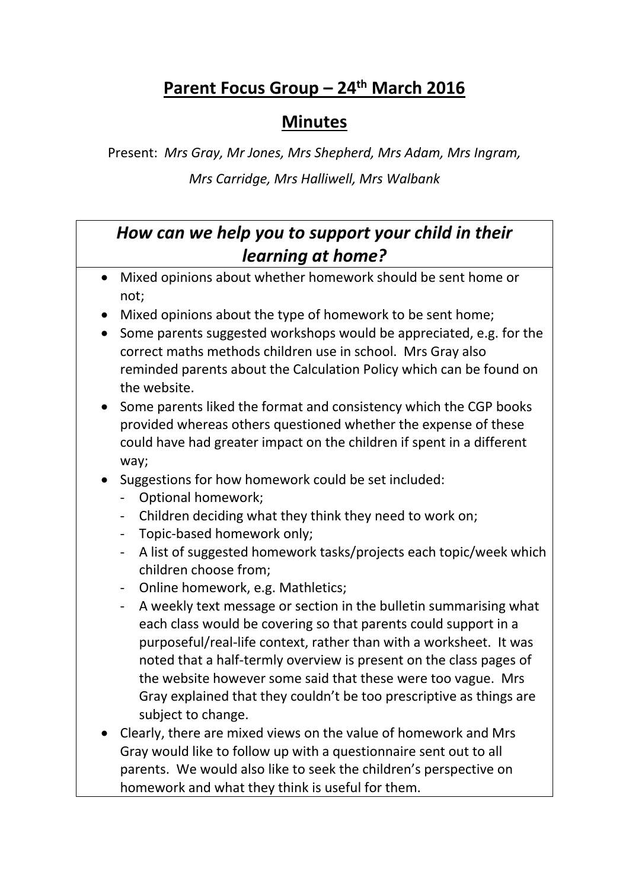## **Parent Focus Group – 24th March 2016**

## **Minutes**

Present: *Mrs Gray, Mr Jones, Mrs Shepherd, Mrs Adam, Mrs Ingram, Mrs Carridge, Mrs Halliwell, Mrs Walbank*

## *How can we help you to support your child in their learning at home?*

- Mixed opinions about whether homework should be sent home or not;
- Mixed opinions about the type of homework to be sent home;
- Some parents suggested workshops would be appreciated, e.g. for the correct maths methods children use in school. Mrs Gray also reminded parents about the Calculation Policy which can be found on the website.
- Some parents liked the format and consistency which the CGP books provided whereas others questioned whether the expense of these could have had greater impact on the children if spent in a different way;
- Suggestions for how homework could be set included:
	- Optional homework;
	- Children deciding what they think they need to work on;
	- Topic-based homework only;
	- A list of suggested homework tasks/projects each topic/week which children choose from;
	- Online homework, e.g. Mathletics;
	- A weekly text message or section in the bulletin summarising what each class would be covering so that parents could support in a purposeful/real-life context, rather than with a worksheet. It was noted that a half-termly overview is present on the class pages of the website however some said that these were too vague. Mrs Gray explained that they couldn't be too prescriptive as things are subject to change.
- Clearly, there are mixed views on the value of homework and Mrs Gray would like to follow up with a questionnaire sent out to all parents. We would also like to seek the children's perspective on homework and what they think is useful for them.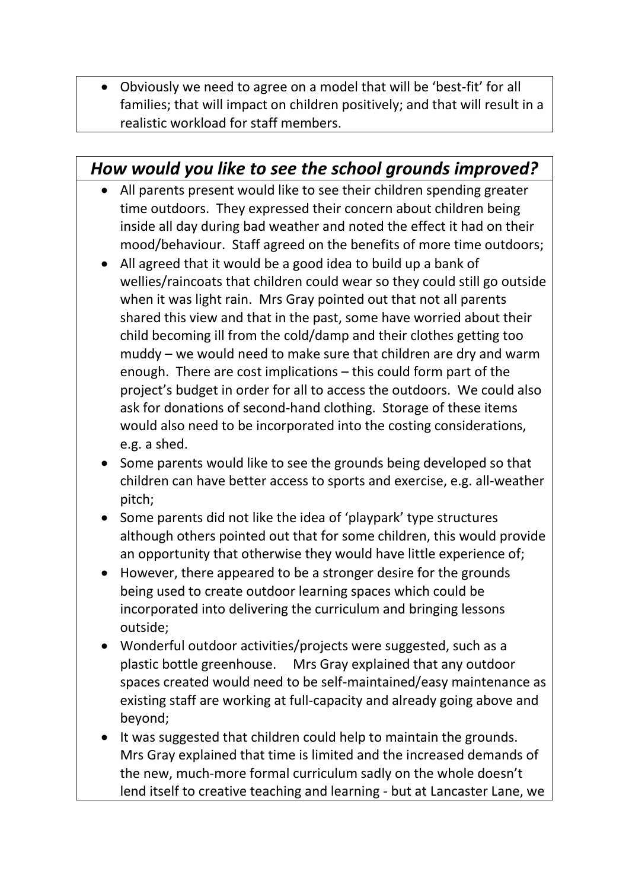Obviously we need to agree on a model that will be 'best-fit' for all families; that will impact on children positively; and that will result in a realistic workload for staff members.

## *How would you like to see the school grounds improved?*

- All parents present would like to see their children spending greater time outdoors. They expressed their concern about children being inside all day during bad weather and noted the effect it had on their mood/behaviour. Staff agreed on the benefits of more time outdoors;
- All agreed that it would be a good idea to build up a bank of wellies/raincoats that children could wear so they could still go outside when it was light rain. Mrs Gray pointed out that not all parents shared this view and that in the past, some have worried about their child becoming ill from the cold/damp and their clothes getting too muddy – we would need to make sure that children are dry and warm enough. There are cost implications – this could form part of the project's budget in order for all to access the outdoors. We could also ask for donations of second-hand clothing. Storage of these items would also need to be incorporated into the costing considerations, e.g. a shed.
- Some parents would like to see the grounds being developed so that children can have better access to sports and exercise, e.g. all-weather pitch;
- Some parents did not like the idea of 'playpark' type structures although others pointed out that for some children, this would provide an opportunity that otherwise they would have little experience of;
- However, there appeared to be a stronger desire for the grounds being used to create outdoor learning spaces which could be incorporated into delivering the curriculum and bringing lessons outside;
- Wonderful outdoor activities/projects were suggested, such as a plastic bottle greenhouse. Mrs Gray explained that any outdoor spaces created would need to be self-maintained/easy maintenance as existing staff are working at full-capacity and already going above and beyond;
- It was suggested that children could help to maintain the grounds. Mrs Gray explained that time is limited and the increased demands of the new, much-more formal curriculum sadly on the whole doesn't lend itself to creative teaching and learning - but at Lancaster Lane, we